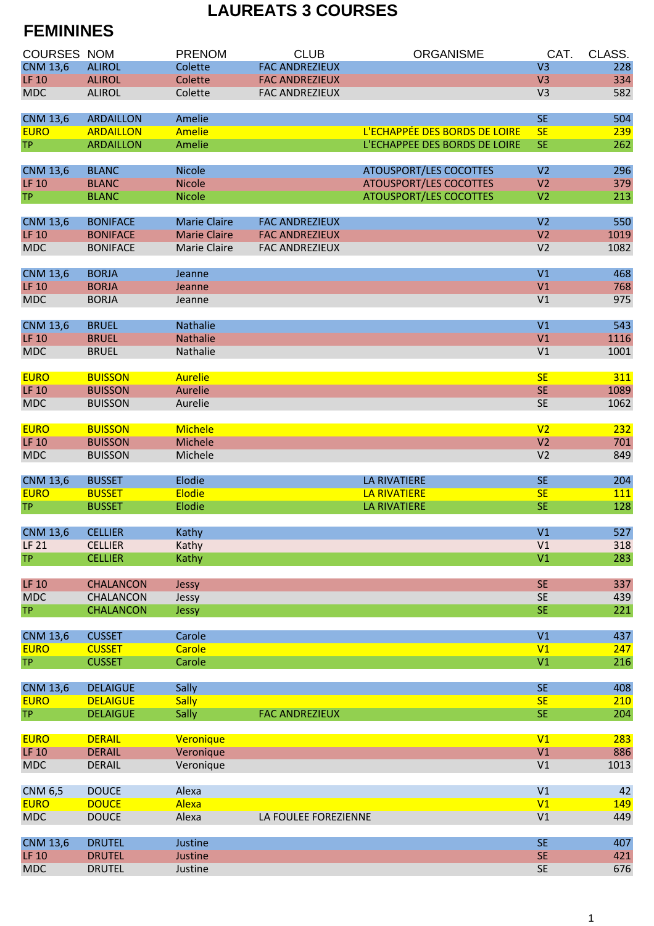## **LAUREATS 3 COURSES**

## **FEMININES**

| <b>COURSES NOM</b> |                  | <b>PRENOM</b>       | <b>CLUB</b>           | <b>ORGANISME</b>              | CAT.           | CLASS.     |
|--------------------|------------------|---------------------|-----------------------|-------------------------------|----------------|------------|
| <b>CNM 13,6</b>    | <b>ALIROL</b>    | Colette             | <b>FAC ANDREZIEUX</b> |                               | V <sub>3</sub> | 228        |
| <b>LF 10</b>       | <b>ALIROL</b>    | Colette             | <b>FAC ANDREZIEUX</b> |                               | V <sub>3</sub> | 334        |
| <b>MDC</b>         | <b>ALIROL</b>    | Colette             | <b>FAC ANDREZIEUX</b> |                               | V <sub>3</sub> | 582        |
|                    |                  |                     |                       |                               |                |            |
| <b>CNM 13,6</b>    | <b>ARDAILLON</b> | Amelie              |                       |                               | <b>SE</b>      | 504        |
| <b>EURO</b>        | <b>ARDAILLON</b> | <b>Amelie</b>       |                       | L'ECHAPPÉE DES BORDS DE LOIRE | <b>SE</b>      | 239        |
| <b>TP</b>          | <b>ARDAILLON</b> | Amelie              |                       | L'ECHAPPEE DES BORDS DE LOIRE | <b>SE</b>      | 262        |
|                    |                  |                     |                       |                               |                |            |
| <b>CNM 13,6</b>    | <b>BLANC</b>     | <b>Nicole</b>       |                       | <b>ATOUSPORT/LES COCOTTES</b> | V <sub>2</sub> | 296        |
| <b>LF 10</b>       | <b>BLANC</b>     | <b>Nicole</b>       |                       | <b>ATOUSPORT/LES COCOTTES</b> | V <sub>2</sub> | 379        |
| <b>TP</b>          | <b>BLANC</b>     | <b>Nicole</b>       |                       | <b>ATOUSPORT/LES COCOTTES</b> | V <sub>2</sub> | 213        |
|                    |                  |                     |                       |                               |                |            |
| <b>CNM 13,6</b>    | <b>BONIFACE</b>  | <b>Marie Claire</b> | <b>FAC ANDREZIEUX</b> |                               | V <sub>2</sub> | 550        |
| <b>LF 10</b>       | <b>BONIFACE</b>  | <b>Marie Claire</b> | <b>FAC ANDREZIEUX</b> |                               | V <sub>2</sub> | 1019       |
| <b>MDC</b>         | <b>BONIFACE</b>  | Marie Claire        | <b>FAC ANDREZIEUX</b> |                               | V <sub>2</sub> | 1082       |
|                    |                  |                     |                       |                               |                |            |
| <b>CNM 13,6</b>    | <b>BORJA</b>     | Jeanne              |                       |                               | V1             | 468        |
| <b>LF 10</b>       | <b>BORJA</b>     | Jeanne              |                       |                               | V1             | 768        |
| <b>MDC</b>         | <b>BORJA</b>     | Jeanne              |                       |                               | V1             | 975        |
|                    |                  |                     |                       |                               |                |            |
| <b>CNM 13,6</b>    | <b>BRUEL</b>     | Nathalie            |                       |                               | V1             | 543        |
| <b>LF 10</b>       | <b>BRUEL</b>     | <b>Nathalie</b>     |                       |                               | V1             | 1116       |
| <b>MDC</b>         | <b>BRUEL</b>     | Nathalie            |                       |                               | V1             | 1001       |
|                    |                  |                     |                       |                               |                |            |
| <b>EURO</b>        | <b>BUISSON</b>   | <b>Aurelie</b>      |                       |                               | <b>SE</b>      | 311        |
| <b>LF 10</b>       | <b>BUISSON</b>   | <b>Aurelie</b>      |                       |                               | <b>SE</b>      | 1089       |
| <b>MDC</b>         | <b>BUISSON</b>   | Aurelie             |                       |                               | <b>SE</b>      | 1062       |
|                    |                  |                     |                       |                               |                |            |
| <b>EURO</b>        | <b>BUISSON</b>   | <b>Michele</b>      |                       |                               | V <sub>2</sub> | 232        |
| <b>LF 10</b>       | <b>BUISSON</b>   | Michele             |                       |                               | V <sub>2</sub> | 701        |
| <b>MDC</b>         | <b>BUISSON</b>   | Michele             |                       |                               | V <sub>2</sub> | 849        |
|                    |                  |                     |                       |                               |                |            |
| <b>CNM 13,6</b>    | <b>BUSSET</b>    | Elodie              |                       | <b>LA RIVATIERE</b>           | <b>SE</b>      | 204        |
| <b>EURO</b>        | <b>BUSSET</b>    | <b>Elodie</b>       |                       | <b>LA RIVATIERE</b>           | <b>SE</b>      | <b>111</b> |
| <b>TP</b>          | <b>BUSSET</b>    | Elodie              |                       | <b>LA RIVATIERE</b>           | <b>SE</b>      | 128        |
|                    |                  |                     |                       |                               |                |            |
| <b>CNM 13,6</b>    | <b>CELLIER</b>   | Kathy               |                       |                               | V1             | 527        |
| <b>LF 21</b>       | <b>CELLIER</b>   | Kathy               |                       |                               | V1             | 318        |
| <b>TP</b>          | <b>CELLIER</b>   | Kathy               |                       |                               | V1             | 283        |
| <b>LF 10</b>       | <b>CHALANCON</b> |                     |                       |                               | <b>SE</b>      | 337        |
| <b>MDC</b>         | CHALANCON        | Jessy               |                       |                               | <b>SE</b>      | 439        |
| <b>TP</b>          | <b>CHALANCON</b> | Jessy<br>Jessy      |                       |                               | <b>SE</b>      | 221        |
|                    |                  |                     |                       |                               |                |            |
| <b>CNM 13,6</b>    | <b>CUSSET</b>    | Carole              |                       |                               | V1             | 437        |
| <b>EURO</b>        | <b>CUSSET</b>    | Carole              |                       |                               | V1             | 247        |
| <b>TP</b>          | <b>CUSSET</b>    | Carole              |                       |                               | V1             | 216        |
|                    |                  |                     |                       |                               |                |            |
| <b>CNM 13,6</b>    | <b>DELAIGUE</b>  | Sally               |                       |                               | <b>SE</b>      | 408        |
| <b>EURO</b>        | <b>DELAIGUE</b>  | <b>Sally</b>        |                       |                               | SE             | 210        |
| <b>TP</b>          | <b>DELAIGUE</b>  | Sally               | <b>FAC ANDREZIEUX</b> |                               | <b>SE</b>      | 204        |
|                    |                  |                     |                       |                               |                |            |
| <b>EURO</b>        | <b>DERAIL</b>    | Veronique           |                       |                               | V1             | 283        |
| <b>LF 10</b>       | <b>DERAIL</b>    | Veronique           |                       |                               | V1             | 886        |
| <b>MDC</b>         | <b>DERAIL</b>    | Veronique           |                       |                               | V1             | 1013       |
|                    |                  |                     |                       |                               |                |            |
| <b>CNM 6,5</b>     | <b>DOUCE</b>     | Alexa               |                       |                               | V1             | 42         |
| <b>EURO</b>        | <b>DOUCE</b>     | Alexa               |                       |                               | V1             | 149        |
| <b>MDC</b>         | <b>DOUCE</b>     | Alexa               | LA FOULEE FOREZIENNE  |                               | V1             | 449        |
|                    |                  |                     |                       |                               |                |            |
| <b>CNM 13,6</b>    | <b>DRUTEL</b>    | Justine             |                       |                               | <b>SE</b>      | 407        |
| <b>LF 10</b>       | <b>DRUTEL</b>    | Justine             |                       |                               | <b>SE</b>      | 421        |
| <b>MDC</b>         | <b>DRUTEL</b>    | Justine             |                       |                               | <b>SE</b>      | 676        |
|                    |                  |                     |                       |                               |                |            |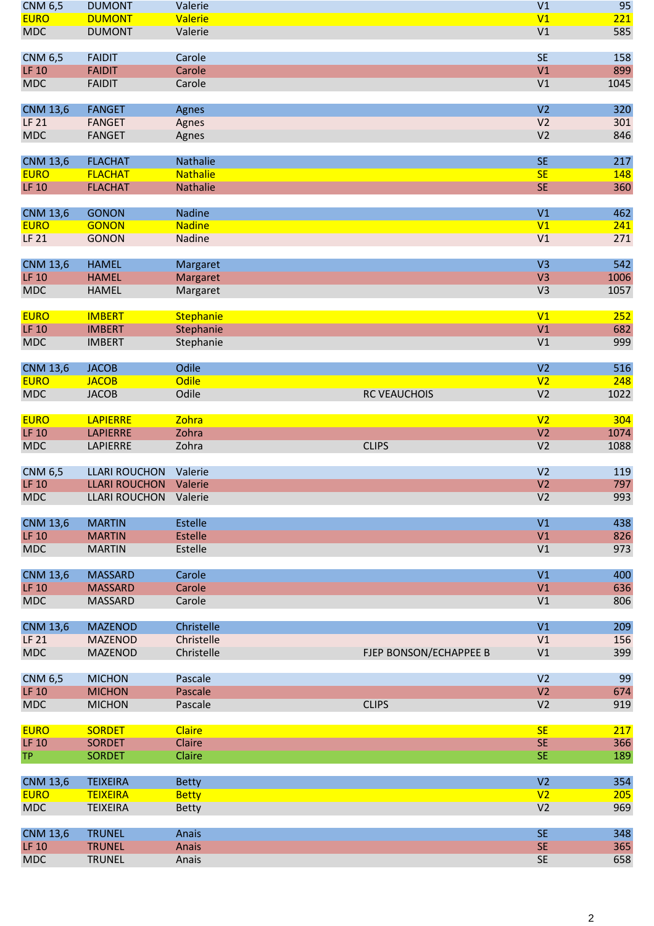| <b>CNM 6,5</b>  | <b>DUMONT</b>         | Valerie         |                        | V1                               | 95   |
|-----------------|-----------------------|-----------------|------------------------|----------------------------------|------|
| <b>EURO</b>     | <b>DUMONT</b>         | Valerie         |                        | V1                               | 221  |
| <b>MDC</b>      | <b>DUMONT</b>         | Valerie         |                        | V1                               | 585  |
|                 |                       |                 |                        |                                  |      |
| <b>CNM 6,5</b>  | <b>FAIDIT</b>         | Carole          |                        | <b>SE</b>                        | 158  |
| <b>LF 10</b>    | <b>FAIDIT</b>         | Carole          |                        | V1                               | 899  |
| <b>MDC</b>      | <b>FAIDIT</b>         | Carole          |                        | V1                               | 1045 |
|                 |                       |                 |                        |                                  |      |
| <b>CNM 13,6</b> | <b>FANGET</b>         | Agnes           |                        | V <sub>2</sub>                   | 320  |
| <b>LF 21</b>    | <b>FANGET</b>         | Agnes           |                        | V <sub>2</sub>                   | 301  |
| <b>MDC</b>      | <b>FANGET</b>         | Agnes           |                        | V <sub>2</sub>                   | 846  |
|                 |                       |                 |                        |                                  |      |
| <b>CNM 13,6</b> | <b>FLACHAT</b>        | Nathalie        |                        | <b>SE</b>                        | 217  |
| <b>EURO</b>     | <b>FLACHAT</b>        | <b>Nathalie</b> |                        | SE                               | 148  |
| <b>LF 10</b>    | <b>FLACHAT</b>        | Nathalie        |                        | <b>SE</b>                        | 360  |
|                 |                       |                 |                        |                                  |      |
| <b>CNM 13,6</b> | <b>GONON</b>          | <b>Nadine</b>   |                        | V1                               | 462  |
| <b>EURO</b>     | <b>GONON</b>          | <b>Nadine</b>   |                        | V <sub>1</sub>                   | 241  |
| <b>LF 21</b>    | <b>GONON</b>          | Nadine          |                        | V1                               | 271  |
|                 |                       |                 |                        |                                  |      |
| <b>CNM 13,6</b> | <b>HAMEL</b>          | Margaret        |                        | V <sub>3</sub>                   | 542  |
| <b>LF 10</b>    | <b>HAMEL</b>          | Margaret        |                        | V <sub>3</sub>                   | 1006 |
| <b>MDC</b>      | <b>HAMEL</b>          | Margaret        |                        | V <sub>3</sub>                   | 1057 |
|                 |                       |                 |                        |                                  |      |
| <b>EURO</b>     | <b>IMBERT</b>         | Stephanie       |                        | V1                               | 252  |
| <b>LF 10</b>    | <b>IMBERT</b>         | Stephanie       |                        | V <sub>1</sub>                   | 682  |
| <b>MDC</b>      | <b>IMBERT</b>         | Stephanie       |                        | V1                               | 999  |
|                 |                       |                 |                        |                                  |      |
| <b>CNM 13,6</b> | <b>JACOB</b>          | Odile           |                        | V <sub>2</sub>                   | 516  |
| <b>EURO</b>     | <b>JACOB</b>          | <b>Odile</b>    |                        | V <sub>2</sub>                   | 248  |
| <b>MDC</b>      | <b>JACOB</b>          | Odile           | <b>RC VEAUCHOIS</b>    | V <sub>2</sub>                   | 1022 |
|                 |                       |                 |                        |                                  |      |
| <b>EURO</b>     | <b>LAPIERRE</b>       | Zohra           |                        | V <sub>2</sub>                   | 304  |
| <b>LF 10</b>    | <b>LAPIERRE</b>       | Zohra           |                        | V <sub>2</sub>                   | 1074 |
| <b>MDC</b>      | LAPIERRE              | Zohra           | <b>CLIPS</b>           | V <sub>2</sub>                   | 1088 |
|                 |                       |                 |                        |                                  |      |
| <b>CNM 6,5</b>  | <b>LLARI ROUCHON</b>  | Valerie         |                        | V <sub>2</sub>                   | 119  |
| <b>LF 10</b>    | <b>LLARI ROUCHON</b>  | Valerie         |                        | V <sub>2</sub>                   | 797  |
| <b>MDC</b>      | LLARI ROUCHON Valerie |                 |                        | V <sub>2</sub>                   | 993  |
|                 |                       |                 |                        |                                  |      |
| <b>CNM 13,6</b> | <b>MARTIN</b>         | <b>Estelle</b>  |                        | V1                               | 438  |
| <b>LF 10</b>    | <b>MARTIN</b>         | <b>Estelle</b>  |                        | V1                               | 826  |
| <b>MDC</b>      | <b>MARTIN</b>         | Estelle         |                        | V1                               | 973  |
|                 |                       |                 |                        |                                  |      |
| <b>CNM 13,6</b> | <b>MASSARD</b>        | Carole          |                        | V1                               | 400  |
| <b>LF 10</b>    | <b>MASSARD</b>        | Carole          |                        | V1                               | 636  |
| <b>MDC</b>      | <b>MASSARD</b>        | Carole          |                        | V1                               | 806  |
|                 |                       |                 |                        |                                  |      |
| <b>CNM 13,6</b> | <b>MAZENOD</b>        | Christelle      |                        | V1                               | 209  |
| LF 21           | <b>MAZENOD</b>        | Christelle      |                        | V1                               | 156  |
| <b>MDC</b>      | MAZENOD               | Christelle      | FJEP BONSON/ECHAPPEE B | V1                               | 399  |
|                 |                       |                 |                        |                                  |      |
| <b>CNM 6,5</b>  | <b>MICHON</b>         | Pascale         |                        | V <sub>2</sub>                   | 99   |
| <b>LF 10</b>    | <b>MICHON</b>         | Pascale         |                        | V <sub>2</sub>                   | 674  |
| <b>MDC</b>      | <b>MICHON</b>         | Pascale         | <b>CLIPS</b>           | V <sub>2</sub>                   | 919  |
|                 |                       |                 |                        |                                  |      |
| <b>EURO</b>     | <b>SORDET</b>         | <b>Claire</b>   |                        | <b>SE</b>                        | 217  |
| <b>LF 10</b>    | <b>SORDET</b>         | Claire          |                        | <b>SE</b>                        | 366  |
| <b>TP</b>       | <b>SORDET</b>         | Claire          |                        | <b>SE</b>                        | 189  |
|                 |                       |                 |                        |                                  |      |
| <b>CNM 13,6</b> | <b>TEIXEIRA</b>       | <b>Betty</b>    |                        | V <sub>2</sub>                   | 354  |
| <b>EURO</b>     | <b>TEIXEIRA</b>       | <b>Betty</b>    |                        | V <sub>2</sub><br>V <sub>2</sub> | 205  |
| <b>MDC</b>      | <b>TEIXEIRA</b>       | <b>Betty</b>    |                        |                                  | 969  |
| <b>CNM 13,6</b> | <b>TRUNEL</b>         | Anais           |                        | <b>SE</b>                        | 348  |
| <b>LF 10</b>    | <b>TRUNEL</b>         | Anais           |                        | <b>SE</b>                        | 365  |
| <b>MDC</b>      | <b>TRUNEL</b>         | Anais           |                        | <b>SE</b>                        | 658  |
|                 |                       |                 |                        |                                  |      |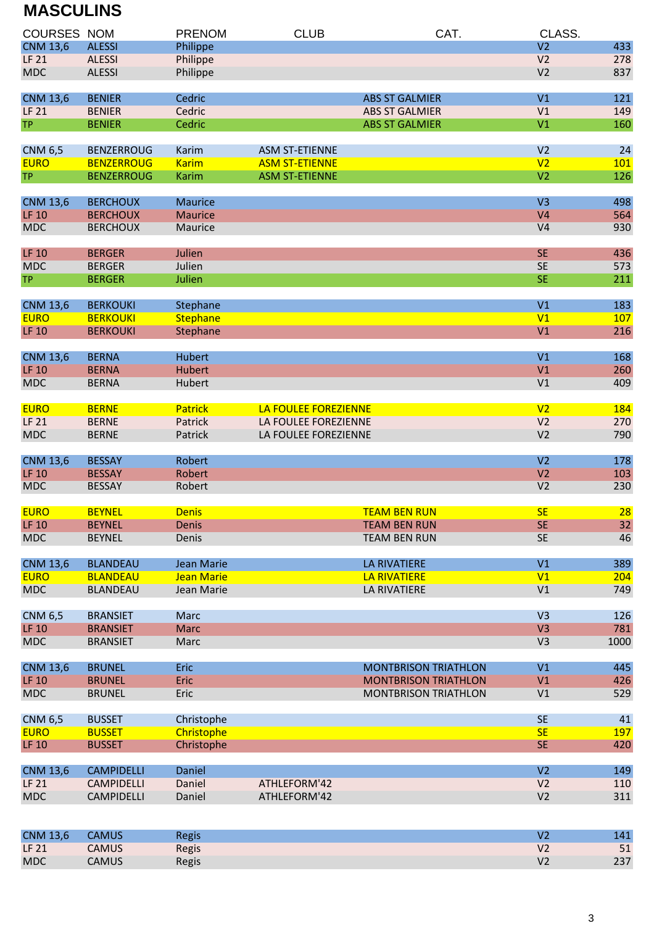## **MASCULINS**

| <b>COURSES NOM</b> |                   | <b>PRENOM</b>     | <b>CLUB</b>           | CAT.                        | CLASS.         |      |
|--------------------|-------------------|-------------------|-----------------------|-----------------------------|----------------|------|
| <b>CNM 13,6</b>    | <b>ALESSI</b>     | Philippe          |                       |                             | V <sub>2</sub> | 433  |
| <b>LF 21</b>       | <b>ALESSI</b>     | Philippe          |                       |                             | V <sub>2</sub> | 278  |
| <b>MDC</b>         | <b>ALESSI</b>     | Philippe          |                       |                             | V <sub>2</sub> | 837  |
| <b>CNM 13,6</b>    | <b>BENIER</b>     | Cedric            |                       | <b>ABS ST GALMIER</b>       | V1             | 121  |
| <b>LF 21</b>       | <b>BENIER</b>     | Cedric            |                       | <b>ABS ST GALMIER</b>       | V1             | 149  |
| <b>TP</b>          | <b>BENIER</b>     | Cedric            |                       | <b>ABS ST GALMIER</b>       | V <sub>1</sub> | 160  |
| <b>CNM 6,5</b>     | <b>BENZERROUG</b> | Karim             | <b>ASM ST-ETIENNE</b> |                             | V <sub>2</sub> | 24   |
| <b>EURO</b>        | <b>BENZERROUG</b> | <b>Karim</b>      | <b>ASM ST-ETIENNE</b> |                             | V <sub>2</sub> | 101  |
| <b>TP</b>          | <b>BENZERROUG</b> | <b>Karim</b>      | <b>ASM ST-ETIENNE</b> |                             | V <sub>2</sub> | 126  |
| <b>CNM 13,6</b>    | <b>BERCHOUX</b>   | <b>Maurice</b>    |                       |                             | V <sub>3</sub> | 498  |
| <b>LF 10</b>       | <b>BERCHOUX</b>   | <b>Maurice</b>    |                       |                             | V <sub>4</sub> | 564  |
| <b>MDC</b>         | <b>BERCHOUX</b>   | Maurice           |                       |                             | V <sub>4</sub> | 930  |
| <b>LF 10</b>       | <b>BERGER</b>     | Julien            |                       |                             | <b>SE</b>      | 436  |
| <b>MDC</b>         | <b>BERGER</b>     | Julien            |                       |                             | <b>SE</b>      | 573  |
| <b>TP</b>          | <b>BERGER</b>     | Julien            |                       |                             | <b>SE</b>      | 211  |
| <b>CNM 13,6</b>    | <b>BERKOUKI</b>   | Stephane          |                       |                             | V1             | 183  |
| <b>EURO</b>        | <b>BERKOUKI</b>   | <b>Stephane</b>   |                       |                             | V1             | 107  |
| <b>LF 10</b>       | <b>BERKOUKI</b>   | Stephane          |                       |                             | V <sub>1</sub> | 216  |
| <b>CNM 13,6</b>    | <b>BERNA</b>      | <b>Hubert</b>     |                       |                             | V1             | 168  |
| <b>LF 10</b>       | <b>BERNA</b>      | <b>Hubert</b>     |                       |                             | V <sub>1</sub> | 260  |
| <b>MDC</b>         | <b>BERNA</b>      | Hubert            |                       |                             | V1             | 409  |
| <b>EURO</b>        | <b>BERNE</b>      | <b>Patrick</b>    | LA FOULEE FOREZIENNE  |                             | V <sub>2</sub> | 184  |
| <b>LF 21</b>       | <b>BERNE</b>      | Patrick           | LA FOULEE FOREZIENNE  |                             | V <sub>2</sub> | 270  |
| <b>MDC</b>         | <b>BERNE</b>      | Patrick           | LA FOULEE FOREZIENNE  |                             | V <sub>2</sub> | 790  |
| <b>CNM 13,6</b>    | <b>BESSAY</b>     | Robert            |                       |                             | V <sub>2</sub> | 178  |
| <b>LF 10</b>       | <b>BESSAY</b>     | Robert            |                       |                             | V <sub>2</sub> | 103  |
| <b>MDC</b>         | <b>BESSAY</b>     | Robert            |                       |                             | V <sub>2</sub> | 230  |
| <b>EURO</b>        | <b>BEYNEL</b>     | <b>Denis</b>      |                       | <b>TEAM BEN RUN</b>         | <b>SE</b>      | 28   |
| <b>LF 10</b>       | <b>BEYNEL</b>     | <b>Denis</b>      |                       | <b>TEAM BEN RUN</b>         | <b>SE</b>      | 32   |
| <b>MDC</b>         | <b>BEYNEL</b>     | Denis             |                       | <b>TEAM BEN RUN</b>         | <b>SE</b>      | 46   |
| <b>CNM 13,6</b>    | <b>BLANDEAU</b>   | Jean Marie        |                       | <b>LA RIVATIERE</b>         | V1             | 389  |
| <b>EURO</b>        | <b>BLANDEAU</b>   | <b>Jean Marie</b> |                       | <b>LA RIVATIERE</b>         | V1             | 204  |
| <b>MDC</b>         | <b>BLANDEAU</b>   | Jean Marie        |                       | LA RIVATIERE                | V1             | 749  |
| <b>CNM 6,5</b>     | <b>BRANSIET</b>   | Marc              |                       |                             | V <sub>3</sub> | 126  |
| <b>LF 10</b>       | <b>BRANSIET</b>   | <b>Marc</b>       |                       |                             | V <sub>3</sub> | 781  |
| <b>MDC</b>         | <b>BRANSIET</b>   | Marc              |                       |                             | V <sub>3</sub> | 1000 |
| <b>CNM 13,6</b>    | <b>BRUNEL</b>     | <b>Eric</b>       |                       | <b>MONTBRISON TRIATHLON</b> | V1             | 445  |
| <b>LF 10</b>       | <b>BRUNEL</b>     | Eric              |                       | <b>MONTBRISON TRIATHLON</b> | V1             | 426  |
| <b>MDC</b>         | <b>BRUNEL</b>     | Eric              |                       | <b>MONTBRISON TRIATHLON</b> | V1             | 529  |
| <b>CNM 6,5</b>     | <b>BUSSET</b>     | Christophe        |                       |                             | <b>SE</b>      | 41   |
| <b>EURO</b>        | <b>BUSSET</b>     | Christophe        |                       |                             | <b>SE</b>      | 197  |
| <b>LF 10</b>       | <b>BUSSET</b>     | Christophe        |                       |                             | <b>SE</b>      | 420  |
| <b>CNM 13,6</b>    | <b>CAMPIDELLI</b> | Daniel            |                       |                             | V <sub>2</sub> | 149  |
| <b>LF 21</b>       | <b>CAMPIDELLI</b> | Daniel            | ATHLEFORM'42          |                             | V <sub>2</sub> | 110  |
| <b>MDC</b>         | <b>CAMPIDELLI</b> | Daniel            | ATHLEFORM'42          |                             | V <sub>2</sub> | 311  |
|                    |                   |                   |                       |                             |                |      |

| <b>CNM 13,6</b> | <b>CAMUS</b> | <b>Regis</b> | 141/ |
|-----------------|--------------|--------------|------|
| LF 21           | <b>CAMUS</b> | Regis        | 51   |
| <b>MDC</b>      | <b>CAMUS</b> | Regis        | 237  |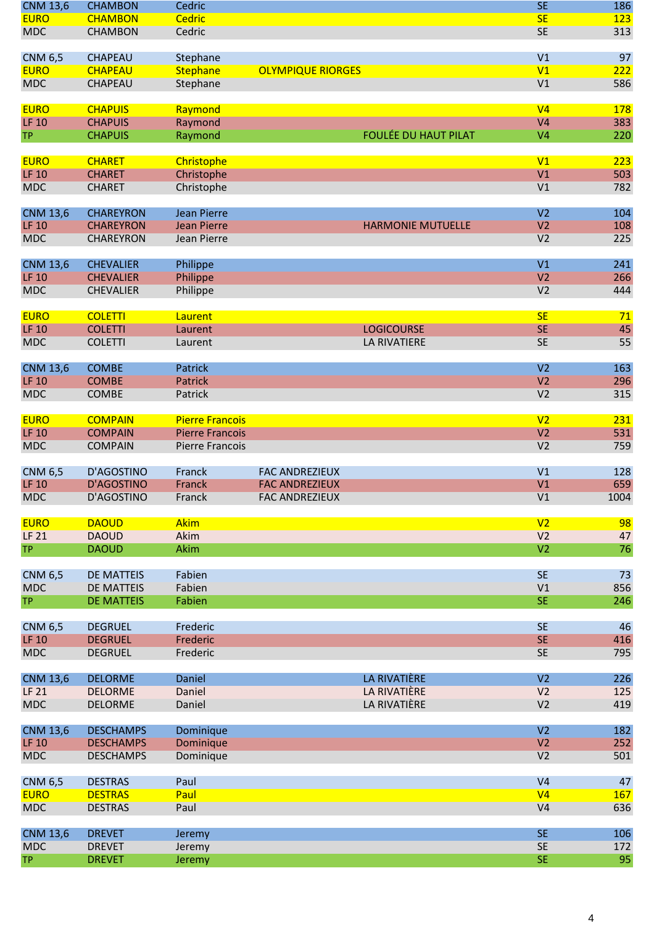| <b>CNM 13,6</b> | <b>CHAMBON</b>    | Cedric                 |                             | <b>SE</b>       | 186  |
|-----------------|-------------------|------------------------|-----------------------------|-----------------|------|
| <b>EURO</b>     | <b>CHAMBON</b>    | <b>Cedric</b>          |                             | <b>SE</b>       | 123  |
| <b>MDC</b>      | <b>CHAMBON</b>    | Cedric                 |                             | <b>SE</b>       | 313  |
| <b>CNM 6,5</b>  | <b>CHAPEAU</b>    | Stephane               |                             | V <sub>1</sub>  | 97   |
| <b>EURO</b>     | <b>CHAPEAU</b>    | <b>Stephane</b>        | <b>OLYMPIQUE RIORGES</b>    | V1              | 222  |
| <b>MDC</b>      | CHAPEAU           | Stephane               |                             | V <sub>1</sub>  | 586  |
| <b>EURO</b>     | <b>CHAPUIS</b>    | Raymond                |                             | V <sub>4</sub>  | 178  |
| <b>LF 10</b>    | <b>CHAPUIS</b>    | Raymond                |                             | V <sub>4</sub>  | 383  |
| <b>TP</b>       | <b>CHAPUIS</b>    | Raymond                | <b>FOULÉE DU HAUT PILAT</b> | V <sub>4</sub>  | 220  |
| <b>EURO</b>     | <b>CHARET</b>     | Christophe             |                             | V <sub>1</sub>  | 223  |
| <b>LF 10</b>    | <b>CHARET</b>     | Christophe             |                             | V <sub>1</sub>  | 503  |
| <b>MDC</b>      | <b>CHARET</b>     | Christophe             |                             | V1              | 782  |
|                 |                   |                        |                             |                 |      |
| <b>CNM 13,6</b> | <b>CHAREYRON</b>  | <b>Jean Pierre</b>     |                             | V <sub>2</sub>  | 104  |
| <b>LF 10</b>    | <b>CHAREYRON</b>  | <b>Jean Pierre</b>     | <b>HARMONIE MUTUELLE</b>    | V <sub>2</sub>  | 108  |
| <b>MDC</b>      | <b>CHAREYRON</b>  | Jean Pierre            |                             | V <sub>2</sub>  | 225  |
| <b>CNM 13,6</b> | <b>CHEVALIER</b>  | Philippe               |                             | V <sub>1</sub>  | 241  |
| <b>LF 10</b>    | <b>CHEVALIER</b>  | Philippe               |                             | V <sub>2</sub>  | 266  |
| <b>MDC</b>      | <b>CHEVALIER</b>  | Philippe               |                             | V <sub>2</sub>  | 444  |
| <b>EURO</b>     | <b>COLETTI</b>    | Laurent                |                             | <b>SE</b>       | 71   |
| <b>LF 10</b>    | <b>COLETTI</b>    | Laurent                | <b>LOGICOURSE</b>           | <b>SE</b>       | 45   |
| <b>MDC</b>      | <b>COLETTI</b>    | Laurent                | <b>LA RIVATIERE</b>         | <b>SE</b>       | 55   |
|                 |                   |                        |                             |                 |      |
| <b>CNM 13,6</b> | <b>COMBE</b>      | Patrick                |                             | V <sub>2</sub>  | 163  |
| <b>LF 10</b>    | <b>COMBE</b>      | <b>Patrick</b>         |                             | V <sub>2</sub>  | 296  |
| <b>MDC</b>      | <b>COMBE</b>      | Patrick                |                             | V <sub>2</sub>  | 315  |
| <b>EURO</b>     | <b>COMPAIN</b>    | <b>Pierre Francois</b> |                             | V <sub>2</sub>  | 231  |
| <b>LF 10</b>    | <b>COMPAIN</b>    | <b>Pierre Francois</b> |                             | V <sub>2</sub>  | 531  |
| <b>MDC</b>      | <b>COMPAIN</b>    | Pierre Francois        |                             | V <sub>2</sub>  | 759  |
| <b>CNM 6,5</b>  | D'AGOSTINO        | Franck                 | <b>FAC ANDREZIEUX</b>       | V <sub>1</sub>  | 128  |
| <b>LF 10</b>    | <b>D'AGOSTINO</b> | Franck                 | <b>FAC ANDREZIEUX</b>       | V <sub>1</sub>  | 659  |
| <b>MDC</b>      | D'AGOSTINO        | Franck                 | <b>FAC ANDREZIEUX</b>       | V1              | 1004 |
| <b>EURO</b>     | <b>DAOUD</b>      | <b>Akim</b>            |                             | V <sub>2</sub>  | 98   |
| <b>LF 21</b>    | <b>DAOUD</b>      | Akim                   |                             | V <sub>2</sub>  | 47   |
| <b>TP</b>       | <b>DAOUD</b>      | Akim                   |                             | V <sub>2</sub>  | 76   |
|                 |                   |                        |                             |                 |      |
| <b>CNM 6,5</b>  | <b>DE MATTEIS</b> | Fabien                 |                             | <b>SE</b>       | 73   |
| <b>MDC</b>      | <b>DE MATTEIS</b> | Fabien                 |                             | V1<br><b>SE</b> | 856  |
| <b>TP</b>       | <b>DE MATTEIS</b> | Fabien                 |                             |                 | 246  |
| <b>CNM 6,5</b>  | <b>DEGRUEL</b>    | Frederic               |                             | <b>SE</b>       | 46   |
| <b>LF 10</b>    | <b>DEGRUEL</b>    | Frederic               |                             | <b>SE</b>       | 416  |
| <b>MDC</b>      | <b>DEGRUEL</b>    | Frederic               |                             | <b>SE</b>       | 795  |
| <b>CNM 13,6</b> | <b>DELORME</b>    | Daniel                 | LA RIVATIÈRE                | V <sub>2</sub>  | 226  |
| <b>LF 21</b>    | <b>DELORME</b>    | Daniel                 | <b>LA RIVATIÈRE</b>         | V <sub>2</sub>  | 125  |
| <b>MDC</b>      | <b>DELORME</b>    | Daniel                 | LA RIVATIÈRE                | V <sub>2</sub>  | 419  |
|                 |                   |                        |                             |                 |      |
| <b>CNM 13,6</b> | <b>DESCHAMPS</b>  | Dominique              |                             | V <sub>2</sub>  | 182  |
| <b>LF 10</b>    | <b>DESCHAMPS</b>  | Dominique              |                             | V <sub>2</sub>  | 252  |
| <b>MDC</b>      | <b>DESCHAMPS</b>  | Dominique              |                             | V <sub>2</sub>  | 501  |
| <b>CNM 6,5</b>  | <b>DESTRAS</b>    | Paul                   |                             | V <sub>4</sub>  | 47   |
| <b>EURO</b>     | <b>DESTRAS</b>    | Paul                   |                             | V <sub>4</sub>  | 167  |
| <b>MDC</b>      | <b>DESTRAS</b>    | Paul                   |                             | V <sub>4</sub>  | 636  |
| <b>CNM 13,6</b> | <b>DREVET</b>     | Jeremy                 |                             | <b>SE</b>       | 106  |
| <b>MDC</b>      | <b>DREVET</b>     | Jeremy                 |                             | <b>SE</b>       | 172  |
| <b>TP</b>       | <b>DREVET</b>     | Jeremy                 |                             | <b>SE</b>       | 95   |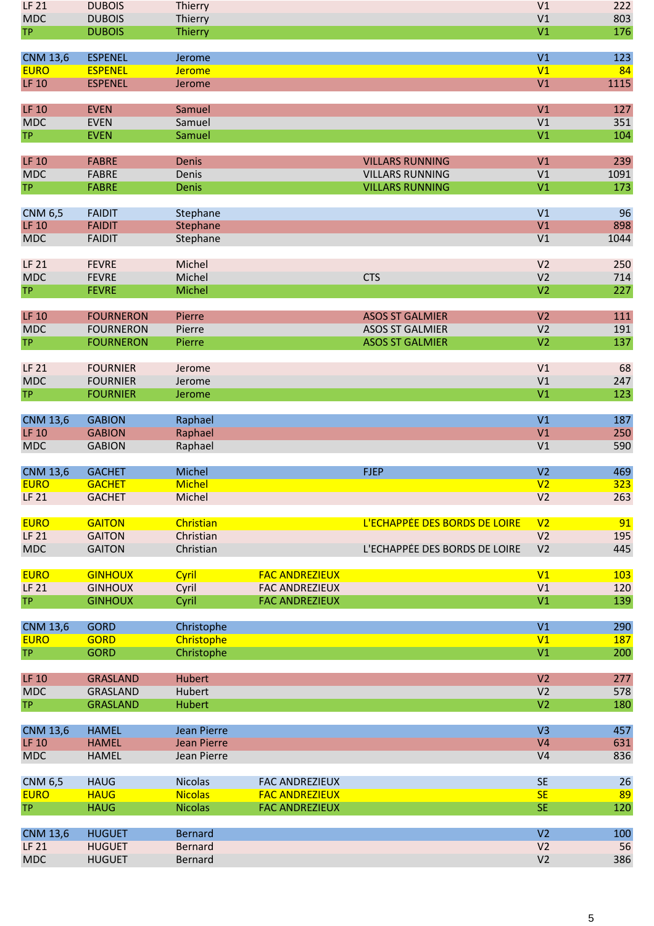| LF 21                          | <b>DUBOIS</b>                    | Thierry                          |                                                |                               | V1                               | 222        |
|--------------------------------|----------------------------------|----------------------------------|------------------------------------------------|-------------------------------|----------------------------------|------------|
| <b>MDC</b>                     | <b>DUBOIS</b>                    | Thierry                          |                                                |                               | V1                               | 803        |
| <b>TP</b>                      | <b>DUBOIS</b>                    | <b>Thierry</b>                   |                                                |                               | V <sub>1</sub>                   | 176        |
|                                |                                  |                                  |                                                |                               |                                  |            |
| <b>CNM 13,6</b><br><b>EURO</b> | <b>ESPENEL</b><br><b>ESPENEL</b> | Jerome<br><b>Jerome</b>          |                                                |                               | V1<br>V1                         | 123<br>84  |
| <b>LF 10</b>                   | <b>ESPENEL</b>                   | Jerome                           |                                                |                               | V1                               | 1115       |
|                                |                                  |                                  |                                                |                               |                                  |            |
| <b>LF 10</b>                   | <b>EVEN</b>                      | Samuel                           |                                                |                               | V1                               | 127        |
| <b>MDC</b>                     | <b>EVEN</b>                      | Samuel                           |                                                |                               | V <sub>1</sub>                   | 351        |
| <b>TP</b>                      | <b>EVEN</b>                      | Samuel                           |                                                |                               | V <sub>1</sub>                   | 104        |
|                                |                                  |                                  |                                                |                               |                                  |            |
| <b>LF 10</b>                   | <b>FABRE</b>                     | <b>Denis</b>                     |                                                | <b>VILLARS RUNNING</b>        | V1                               | 239        |
| <b>MDC</b>                     | <b>FABRE</b>                     | Denis                            |                                                | <b>VILLARS RUNNING</b>        | V <sub>1</sub>                   | 1091       |
| <b>TP</b>                      | <b>FABRE</b>                     | Denis                            |                                                | <b>VILLARS RUNNING</b>        | V1                               | 173        |
| <b>CNM 6,5</b>                 | <b>FAIDIT</b>                    | Stephane                         |                                                |                               | V <sub>1</sub>                   | 96         |
| <b>LF 10</b>                   | <b>FAIDIT</b>                    | Stephane                         |                                                |                               | V <sub>1</sub>                   | 898        |
| <b>MDC</b>                     | <b>FAIDIT</b>                    | Stephane                         |                                                |                               | V1                               | 1044       |
|                                |                                  |                                  |                                                |                               |                                  |            |
| <b>LF 21</b>                   | <b>FEVRE</b>                     | Michel                           |                                                |                               | V <sub>2</sub>                   | 250        |
| <b>MDC</b>                     | <b>FEVRE</b>                     | Michel                           |                                                | <b>CTS</b>                    | V <sub>2</sub>                   | 714        |
| <b>TP</b>                      | <b>FEVRE</b>                     | Michel                           |                                                |                               | V <sub>2</sub>                   | 227        |
|                                |                                  |                                  |                                                |                               |                                  |            |
| <b>LF 10</b>                   | <b>FOURNERON</b>                 | Pierre                           |                                                | <b>ASOS ST GALMIER</b>        | V <sub>2</sub>                   | 111        |
| <b>MDC</b>                     | <b>FOURNERON</b>                 | Pierre                           |                                                | <b>ASOS ST GALMIER</b>        | V <sub>2</sub>                   | 191        |
| <b>TP</b>                      | <b>FOURNERON</b>                 | Pierre                           |                                                | <b>ASOS ST GALMIER</b>        | V <sub>2</sub>                   | 137        |
| <b>LF 21</b>                   | <b>FOURNIER</b>                  | Jerome                           |                                                |                               | V1                               | 68         |
| <b>MDC</b>                     | <b>FOURNIER</b>                  | Jerome                           |                                                |                               | V1                               | 247        |
| <b>TP</b>                      | <b>FOURNIER</b>                  | Jerome                           |                                                |                               | V <sub>1</sub>                   | 123        |
|                                |                                  |                                  |                                                |                               |                                  |            |
| <b>CNM 13,6</b>                | <b>GABION</b>                    | Raphael                          |                                                |                               | V1                               | 187        |
| <b>LF 10</b>                   | <b>GABION</b>                    | Raphael                          |                                                |                               | V1                               | 250        |
| <b>MDC</b>                     | <b>GABION</b>                    | Raphael                          |                                                |                               | V <sub>1</sub>                   | 590        |
| <b>CNM 13,6</b>                | <b>GACHET</b>                    | Michel                           |                                                | <b>FJEP</b>                   | V <sub>2</sub>                   | 469        |
| <b>EURO</b>                    | <b>GACHET</b>                    | <b>Michel</b>                    |                                                |                               | V <sub>2</sub>                   | 323        |
| <b>LF 21</b>                   | <b>GACHET</b>                    | Michel                           |                                                |                               | V <sub>2</sub>                   | 263        |
|                                |                                  |                                  |                                                |                               |                                  |            |
| <b>EURO</b>                    | <b>GAITON</b>                    | Christian                        |                                                | L'ECHAPPÉE DES BORDS DE LOIRE | V <sub>2</sub>                   | 91         |
| <b>LF 21</b>                   | <b>GAITON</b>                    | Christian                        |                                                |                               | V <sub>2</sub>                   | 195        |
| <b>MDC</b>                     | <b>GAITON</b>                    | Christian                        |                                                | L'ECHAPPÉE DES BORDS DE LOIRE | V <sub>2</sub>                   | 445        |
|                                |                                  |                                  |                                                |                               |                                  |            |
| <b>EURO</b>                    | <b>GINHOUX</b>                   | Cyril                            | <b>FAC ANDREZIEUX</b>                          |                               | V1                               | 103        |
| <b>LF 21</b>                   | <b>GINHOUX</b>                   | Cyril                            | <b>FAC ANDREZIEUX</b><br><b>FAC ANDREZIEUX</b> |                               | V <sub>1</sub><br>V1             | 120<br>139 |
| <b>TP</b>                      | <b>GINHOUX</b>                   | Cyril                            |                                                |                               |                                  |            |
| <b>CNM 13,6</b>                | <b>GORD</b>                      | Christophe                       |                                                |                               | V1                               | 290        |
| <b>EURO</b>                    | <b>GORD</b>                      | Christophe                       |                                                |                               | V1                               | <b>187</b> |
| <b>TP</b>                      | <b>GORD</b>                      | Christophe                       |                                                |                               | V1                               | 200        |
|                                |                                  |                                  |                                                |                               |                                  |            |
| <b>LF 10</b>                   | <b>GRASLAND</b>                  | Hubert                           |                                                |                               | V <sub>2</sub>                   | 277        |
| <b>MDC</b>                     | GRASLAND                         | Hubert                           |                                                |                               | V <sub>2</sub>                   | 578        |
| <b>TP</b>                      | <b>GRASLAND</b>                  | <b>Hubert</b>                    |                                                |                               | V <sub>2</sub>                   | 180        |
| <b>CNM 13,6</b>                | <b>HAMEL</b>                     | Jean Pierre                      |                                                |                               | V <sub>3</sub>                   | 457        |
| <b>LF 10</b>                   | <b>HAMEL</b>                     | <b>Jean Pierre</b>               |                                                |                               | V <sub>4</sub>                   | 631        |
| <b>MDC</b>                     | <b>HAMEL</b>                     | Jean Pierre                      |                                                |                               | V <sub>4</sub>                   | 836        |
|                                |                                  |                                  |                                                |                               |                                  |            |
| <b>CNM 6,5</b>                 | <b>HAUG</b>                      | <b>Nicolas</b>                   | <b>FAC ANDREZIEUX</b>                          |                               | <b>SE</b>                        | 26         |
| <b>EURO</b>                    | <b>HAUG</b>                      | <b>Nicolas</b>                   | <b>FAC ANDREZIEUX</b>                          |                               | <b>SE</b>                        | 89         |
| <b>TP</b>                      | <b>HAUG</b>                      | <b>Nicolas</b>                   | <b>FAC ANDREZIEUX</b>                          |                               | <b>SE</b>                        | 120        |
|                                |                                  |                                  |                                                |                               |                                  |            |
| <b>CNM 13,6</b>                | <b>HUGUET</b>                    | <b>Bernard</b>                   |                                                |                               | V <sub>2</sub>                   | 100        |
| <b>LF 21</b><br><b>MDC</b>     | <b>HUGUET</b><br><b>HUGUET</b>   | <b>Bernard</b><br><b>Bernard</b> |                                                |                               | V <sub>2</sub><br>V <sub>2</sub> | 56<br>386  |
|                                |                                  |                                  |                                                |                               |                                  |            |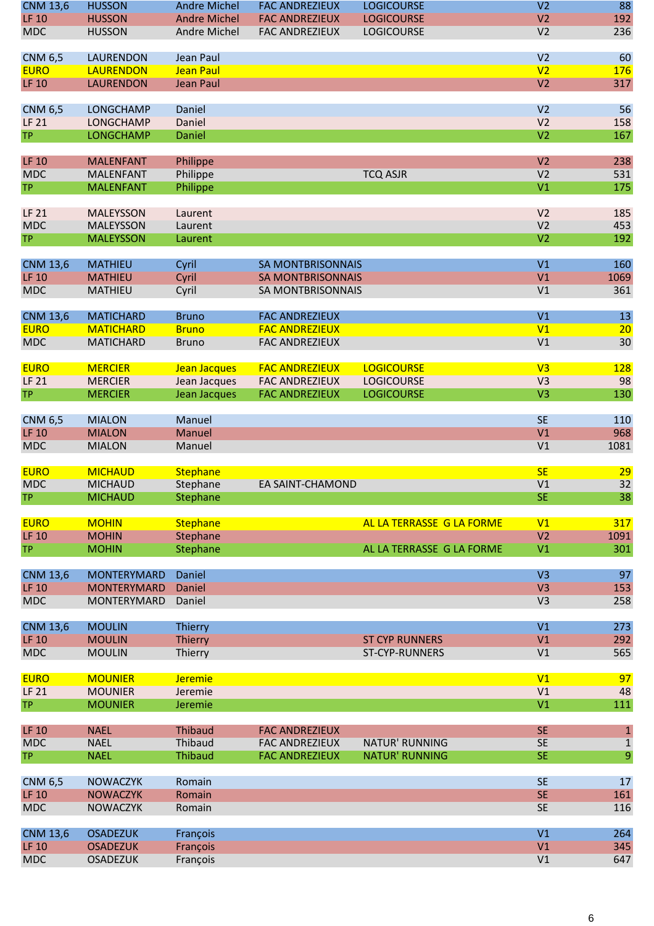| <b>CNM 13,6</b>            | <b>HUSSON</b>                            | <b>Andre Michel</b> | <b>FAC ANDREZIEUX</b>    | <b>LOGICOURSE</b>         | V <sub>2</sub>                   | 88           |
|----------------------------|------------------------------------------|---------------------|--------------------------|---------------------------|----------------------------------|--------------|
| <b>LF 10</b>               | <b>HUSSON</b>                            | <b>Andre Michel</b> | <b>FAC ANDREZIEUX</b>    | <b>LOGICOURSE</b>         | V <sub>2</sub>                   | 192          |
| <b>MDC</b>                 | <b>HUSSON</b>                            | Andre Michel        | <b>FAC ANDREZIEUX</b>    | <b>LOGICOURSE</b>         | V <sub>2</sub>                   | 236          |
|                            |                                          |                     |                          |                           |                                  |              |
| <b>CNM 6,5</b>             | <b>LAURENDON</b>                         | Jean Paul           |                          |                           | V <sub>2</sub>                   | 60           |
| <b>EURO</b>                | <b>LAURENDON</b>                         | <b>Jean Paul</b>    |                          |                           | V <sub>2</sub>                   | 176          |
| <b>LF 10</b>               | <b>LAURENDON</b>                         | <b>Jean Paul</b>    |                          |                           | V <sub>2</sub>                   | 317          |
|                            |                                          |                     |                          |                           |                                  |              |
| <b>CNM 6,5</b>             | <b>LONGCHAMP</b>                         | Daniel              |                          |                           | V <sub>2</sub>                   | 56           |
| <b>LF 21</b>               | <b>LONGCHAMP</b>                         | Daniel              |                          |                           | V <sub>2</sub>                   | 158          |
| <b>TP</b>                  | <b>LONGCHAMP</b>                         | Daniel              |                          |                           | V <sub>2</sub>                   | 167          |
|                            |                                          |                     |                          |                           |                                  |              |
| <b>LF 10</b>               | <b>MALENFANT</b>                         | Philippe            |                          |                           | V <sub>2</sub>                   | 238          |
| <b>MDC</b>                 | <b>MALENFANT</b>                         | Philippe            |                          | <b>TCQ ASJR</b>           | V <sub>2</sub>                   | 531          |
| <b>TP</b>                  | <b>MALENFANT</b>                         | Philippe            |                          |                           | V <sub>1</sub>                   | 175          |
|                            |                                          |                     |                          |                           |                                  |              |
| <b>LF 21</b><br><b>MDC</b> | <b>MALEYSSON</b><br><b>MALEYSSON</b>     | Laurent<br>Laurent  |                          |                           | V <sub>2</sub><br>V <sub>2</sub> | 185<br>453   |
| <b>TP</b>                  | <b>MALEYSSON</b>                         |                     |                          |                           | V <sub>2</sub>                   | 192          |
|                            |                                          | Laurent             |                          |                           |                                  |              |
| <b>CNM 13,6</b>            | <b>MATHIEU</b>                           | Cyril               | <b>SA MONTBRISONNAIS</b> |                           | V <sub>1</sub>                   | 160          |
| <b>LF 10</b>               | <b>MATHIEU</b>                           | Cyril               | <b>SA MONTBRISONNAIS</b> |                           | V <sub>1</sub>                   | 1069         |
| <b>MDC</b>                 | <b>MATHIEU</b>                           | Cyril               | SA MONTBRISONNAIS        |                           | V1                               | 361          |
|                            |                                          |                     |                          |                           |                                  |              |
| <b>CNM 13,6</b>            | <b>MATICHARD</b>                         | <b>Bruno</b>        | <b>FAC ANDREZIEUX</b>    |                           | V <sub>1</sub>                   | 13           |
| <b>EURO</b>                | <b>MATICHARD</b>                         | <b>Bruno</b>        | <b>FAC ANDREZIEUX</b>    |                           | V <sub>1</sub>                   | 20           |
| <b>MDC</b>                 | <b>MATICHARD</b>                         | <b>Bruno</b>        | <b>FAC ANDREZIEUX</b>    |                           | V1                               | 30           |
|                            |                                          |                     |                          |                           |                                  |              |
| <b>EURO</b>                | <b>MERCIER</b>                           | Jean Jacques        | <b>FAC ANDREZIEUX</b>    | <b>LOGICOURSE</b>         | V <sub>3</sub>                   | <b>128</b>   |
| <b>LF 21</b>               | <b>MERCIER</b>                           | Jean Jacques        | <b>FAC ANDREZIEUX</b>    | <b>LOGICOURSE</b>         | V <sub>3</sub>                   | 98           |
| <b>TP</b>                  | <b>MERCIER</b>                           | Jean Jacques        | <b>FAC ANDREZIEUX</b>    | <b>LOGICOURSE</b>         | V <sub>3</sub>                   | 130          |
|                            |                                          |                     |                          |                           |                                  |              |
| <b>CNM 6,5</b>             | <b>MIALON</b>                            | Manuel              |                          |                           | <b>SE</b>                        | 110          |
| <b>LF 10</b>               | <b>MIALON</b>                            | <b>Manuel</b>       |                          |                           | V <sub>1</sub>                   | 968          |
| <b>MDC</b>                 | <b>MIALON</b>                            | Manuel              |                          |                           | V <sub>1</sub>                   | 1081         |
|                            |                                          |                     |                          |                           |                                  |              |
| <b>EURO</b>                | <b>MICHAUD</b>                           | <b>Stephane</b>     |                          |                           | <b>SE</b>                        | 29           |
| <b>MDC</b>                 | <b>MICHAUD</b>                           | Stephane            | EA SAINT-CHAMOND         |                           | V <sub>1</sub>                   | 32           |
| <b>TP</b>                  | <b>MICHAUD</b>                           | Stephane            |                          |                           | <b>SE</b>                        | 38           |
|                            |                                          |                     |                          |                           |                                  |              |
| <b>EURO</b>                | <b>MOHIN</b>                             | <b>Stephane</b>     |                          | AL LA TERRASSE G LA FORME | V <sub>1</sub>                   | 317          |
| <b>LF 10</b>               | <b>MOHIN</b>                             | Stephane            |                          |                           | V <sub>2</sub>                   | 1091         |
| <b>TP</b>                  | <b>MOHIN</b>                             | Stephane            |                          | AL LA TERRASSE G LA FORME | V1                               | 301          |
|                            |                                          |                     |                          |                           |                                  |              |
| <b>CNM 13,6</b>            | <b>MONTERYMARD</b><br><b>MONTERYMARD</b> | Daniel              |                          |                           | V <sub>3</sub>                   | 97           |
| <b>LF 10</b>               |                                          | Daniel              |                          |                           | V <sub>3</sub>                   | 153          |
| <b>MDC</b>                 | MONTERYMARD                              | Daniel              |                          |                           | V <sub>3</sub>                   | 258          |
| <b>CNM 13,6</b>            | <b>MOULIN</b>                            | Thierry             |                          |                           | V1                               | 273          |
| <b>LF 10</b>               | <b>MOULIN</b>                            | <b>Thierry</b>      |                          | <b>ST CYP RUNNERS</b>     | V <sub>1</sub>                   | 292          |
| <b>MDC</b>                 | <b>MOULIN</b>                            | Thierry             |                          | ST-CYP-RUNNERS            | V <sub>1</sub>                   | 565          |
|                            |                                          |                     |                          |                           |                                  |              |
| <b>EURO</b>                | <b>MOUNIER</b>                           | Jeremie             |                          |                           | V1                               | 97           |
| LF 21                      | <b>MOUNIER</b>                           | Jeremie             |                          |                           | V1                               | 48           |
| <b>TP</b>                  | <b>MOUNIER</b>                           | Jeremie             |                          |                           | V1                               | 111          |
|                            |                                          |                     |                          |                           |                                  |              |
| <b>LF 10</b>               | <b>NAEL</b>                              | <b>Thibaud</b>      | <b>FAC ANDREZIEUX</b>    |                           | <b>SE</b>                        | $1\,$        |
| <b>MDC</b>                 | <b>NAEL</b>                              | Thibaud             | <b>FAC ANDREZIEUX</b>    | NATUR' RUNNING            | <b>SE</b>                        | $\mathbf{1}$ |
| <b>TP</b>                  | <b>NAEL</b>                              | <b>Thibaud</b>      | <b>FAC ANDREZIEUX</b>    | <b>NATUR' RUNNING</b>     | <b>SE</b>                        | 9            |
|                            |                                          |                     |                          |                           |                                  |              |
| <b>CNM 6,5</b>             | <b>NOWACZYK</b>                          | Romain              |                          |                           | <b>SE</b>                        | 17           |
| <b>LF 10</b>               | <b>NOWACZYK</b>                          | Romain              |                          |                           | <b>SE</b>                        | 161          |
| <b>MDC</b>                 | <b>NOWACZYK</b>                          | Romain              |                          |                           | <b>SE</b>                        | 116          |
|                            |                                          |                     |                          |                           |                                  |              |
| <b>CNM 13,6</b>            | <b>OSADEZUK</b>                          | François            |                          |                           | V1                               | 264          |
| <b>LF 10</b>               | <b>OSADEZUK</b>                          | François            |                          |                           | V <sub>1</sub>                   | 345          |
| <b>MDC</b>                 | <b>OSADEZUK</b>                          | François            |                          |                           | V1                               | 647          |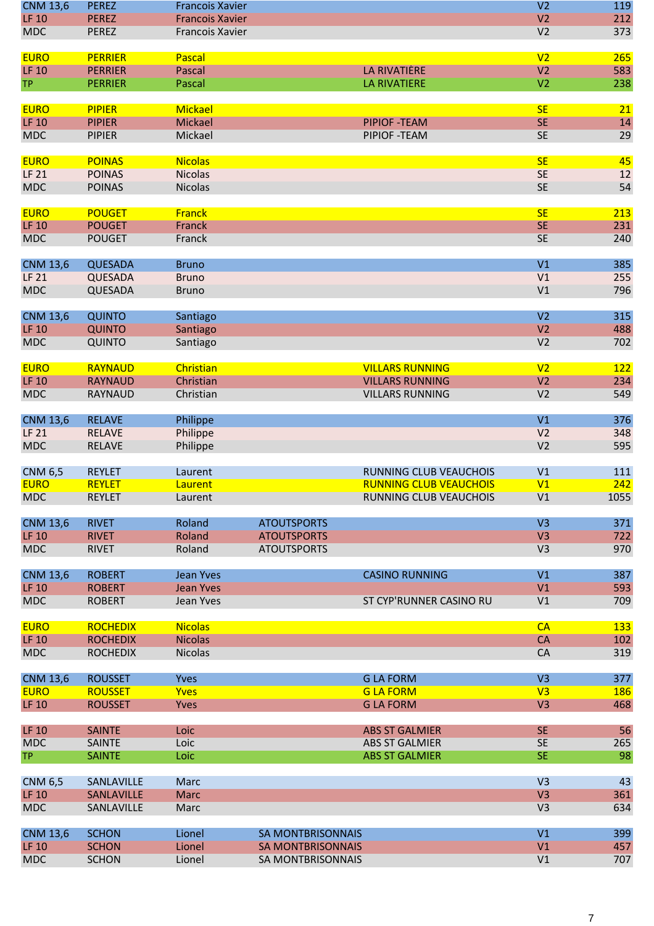| <b>CNM 13,6</b>                 | <b>PEREZ</b>                 | <b>Francois Xavier</b> |                                          |                               | V <sub>2</sub>                   | 119        |
|---------------------------------|------------------------------|------------------------|------------------------------------------|-------------------------------|----------------------------------|------------|
| <b>LF 10</b>                    | <b>PEREZ</b>                 | <b>Francois Xavier</b> |                                          |                               | V <sub>2</sub>                   | 212        |
| <b>MDC</b>                      | <b>PEREZ</b>                 | Francois Xavier        |                                          |                               | V <sub>2</sub>                   | 373        |
|                                 |                              |                        |                                          |                               |                                  |            |
| <b>EURO</b>                     | <b>PERRIER</b>               | Pascal                 |                                          |                               | V <sub>2</sub>                   | 265        |
| <b>LF 10</b>                    | <b>PERRIER</b>               | <b>Pascal</b>          |                                          | LA RIVATIÈRE                  | V <sub>2</sub>                   | 583        |
| <b>TP</b>                       | <b>PERRIER</b>               | Pascal                 |                                          | <b>LA RIVATIERE</b>           | V <sub>2</sub>                   | 238        |
|                                 |                              |                        |                                          |                               |                                  |            |
| <b>EURO</b>                     | <b>PIPIER</b>                | <b>Mickael</b>         |                                          |                               | <b>SE</b>                        | 21         |
| <b>LF 10</b>                    | <b>PIPIER</b>                | <b>Mickael</b>         |                                          | <b>PIPIOF -TEAM</b>           | <b>SE</b>                        | 14         |
| <b>MDC</b>                      | <b>PIPIER</b>                | Mickael                |                                          | PIPIOF - TEAM                 | <b>SE</b>                        | 29         |
| <b>EURO</b>                     | <b>POINAS</b>                | <b>Nicolas</b>         |                                          |                               | <b>SE</b>                        | 45         |
| <b>LF 21</b>                    | <b>POINAS</b>                | <b>Nicolas</b>         |                                          |                               | <b>SE</b>                        | 12         |
| <b>MDC</b>                      | <b>POINAS</b>                | <b>Nicolas</b>         |                                          |                               | <b>SE</b>                        | 54         |
|                                 |                              |                        |                                          |                               |                                  |            |
| <b>EURO</b>                     | <b>POUGET</b>                | <b>Franck</b>          |                                          |                               | <b>SE</b>                        | 213        |
| <b>LF 10</b>                    | <b>POUGET</b>                | Franck                 |                                          |                               | <b>SE</b>                        | 231        |
| <b>MDC</b>                      | <b>POUGET</b>                | Franck                 |                                          |                               | <b>SE</b>                        | 240        |
|                                 |                              |                        |                                          |                               |                                  |            |
| <b>CNM 13,6</b>                 | <b>QUESADA</b>               | <b>Bruno</b>           |                                          |                               | V <sub>1</sub>                   | 385        |
| <b>LF 21</b>                    | QUESADA                      | <b>Bruno</b>           |                                          |                               | V1                               | 255        |
| <b>MDC</b>                      | QUESADA                      | <b>Bruno</b>           |                                          |                               | V1                               | 796        |
|                                 |                              |                        |                                          |                               |                                  |            |
| <b>CNM 13,6</b>                 | <b>QUINTO</b>                | Santiago               |                                          |                               | V <sub>2</sub>                   | 315        |
| <b>LF 10</b>                    | <b>QUINTO</b>                | Santiago               |                                          |                               | V <sub>2</sub><br>V <sub>2</sub> | 488<br>702 |
| <b>MDC</b>                      | <b>QUINTO</b>                | Santiago               |                                          |                               |                                  |            |
| <b>EURO</b>                     | <b>RAYNAUD</b>               | Christian              |                                          | <b>VILLARS RUNNING</b>        | V <sub>2</sub>                   | 122        |
| <b>LF 10</b>                    | <b>RAYNAUD</b>               | Christian              |                                          | <b>VILLARS RUNNING</b>        | V <sub>2</sub>                   | 234        |
| <b>MDC</b>                      | <b>RAYNAUD</b>               | Christian              |                                          | <b>VILLARS RUNNING</b>        | V <sub>2</sub>                   | 549        |
|                                 |                              |                        |                                          |                               |                                  |            |
| <b>CNM 13,6</b>                 | <b>RELAVE</b>                | Philippe               |                                          |                               | V1                               | 376        |
| <b>LF 21</b>                    | <b>RELAVE</b>                | Philippe               |                                          |                               | V <sub>2</sub>                   | 348        |
| <b>MDC</b>                      | <b>RELAVE</b>                | Philippe               |                                          |                               | V <sub>2</sub>                   | 595        |
|                                 |                              |                        |                                          |                               |                                  |            |
| <b>CNM 6,5</b>                  | <b>REYLET</b>                | Laurent                |                                          | <b>RUNNING CLUB VEAUCHOIS</b> | V <sub>1</sub>                   | 111        |
| <b>EURO</b>                     | <b>REYLET</b>                | Laurent                |                                          | <b>RUNNING CLUB VEAUCHOIS</b> | V <sub>1</sub>                   | 242        |
| <b>MDC</b>                      | <b>REYLET</b>                | Laurent                |                                          | RUNNING CLUB VEAUCHOIS        | V1                               | 1055       |
|                                 |                              |                        |                                          |                               |                                  |            |
| <b>CNM 13,6</b><br><b>LF 10</b> | <b>RIVET</b><br><b>RIVET</b> | Roland<br>Roland       | <b>ATOUTSPORTS</b><br><b>ATOUTSPORTS</b> |                               | V <sub>3</sub><br>V <sub>3</sub> | 371<br>722 |
| <b>MDC</b>                      | <b>RIVET</b>                 | Roland                 | <b>ATOUTSPORTS</b>                       |                               | V <sub>3</sub>                   | 970        |
|                                 |                              |                        |                                          |                               |                                  |            |
| <b>CNM 13,6</b>                 | <b>ROBERT</b>                | Jean Yves              |                                          | <b>CASINO RUNNING</b>         | V1                               | 387        |
| <b>LF 10</b>                    | <b>ROBERT</b>                | <b>Jean Yves</b>       |                                          |                               | V <sub>1</sub>                   | 593        |
| <b>MDC</b>                      | <b>ROBERT</b>                | Jean Yves              |                                          | ST CYP'RUNNER CASINO RU       | V1                               | 709        |
|                                 |                              |                        |                                          |                               |                                  |            |
| <b>EURO</b>                     | <b>ROCHEDIX</b>              | <b>Nicolas</b>         |                                          |                               | CA                               | 133        |
| <b>LF 10</b>                    | <b>ROCHEDIX</b>              | <b>Nicolas</b>         |                                          |                               | CA                               | 102        |
| <b>MDC</b>                      | <b>ROCHEDIX</b>              | <b>Nicolas</b>         |                                          |                               | <b>CA</b>                        | 319        |
|                                 |                              |                        |                                          |                               |                                  |            |
| <b>CNM 13,6</b>                 | <b>ROUSSET</b>               | <b>Yves</b>            |                                          | <b>GLA FORM</b>               | V <sub>3</sub>                   | 377        |
| <b>EURO</b>                     | <b>ROUSSET</b>               | <b>Yves</b>            |                                          | <b>GLA FORM</b>               | V3                               | <b>186</b> |
| <b>LF 10</b>                    | <b>ROUSSET</b>               | Yves                   |                                          | <b>GLA FORM</b>               | V <sub>3</sub>                   | 468        |
| <b>LF 10</b>                    | <b>SAINTE</b>                | Loic                   |                                          | <b>ABS ST GALMIER</b>         | <b>SE</b>                        | 56         |
| <b>MDC</b>                      | <b>SAINTE</b>                | Loic                   |                                          | <b>ABS ST GALMIER</b>         | <b>SE</b>                        | 265        |
| <b>TP</b>                       | <b>SAINTE</b>                | Loic                   |                                          | <b>ABS ST GALMIER</b>         | <b>SE</b>                        | 98         |
|                                 |                              |                        |                                          |                               |                                  |            |
| <b>CNM 6,5</b>                  | SANLAVILLE                   | Marc                   |                                          |                               | V <sub>3</sub>                   | 43         |
| <b>LF 10</b>                    | SANLAVILLE                   | <b>Marc</b>            |                                          |                               | V <sub>3</sub>                   | 361        |
| <b>MDC</b>                      | SANLAVILLE                   | Marc                   |                                          |                               | V <sub>3</sub>                   | 634        |
|                                 |                              |                        |                                          |                               |                                  |            |
| <b>CNM 13,6</b>                 | <b>SCHON</b>                 | Lionel                 | <b>SA MONTBRISONNAIS</b>                 |                               | V1                               | 399        |
| <b>LF 10</b>                    | <b>SCHON</b>                 | Lionel                 | <b>SA MONTBRISONNAIS</b>                 |                               | V1                               | 457        |
| <b>MDC</b>                      | <b>SCHON</b>                 | Lionel                 | SA MONTBRISONNAIS                        |                               | V1                               | 707        |